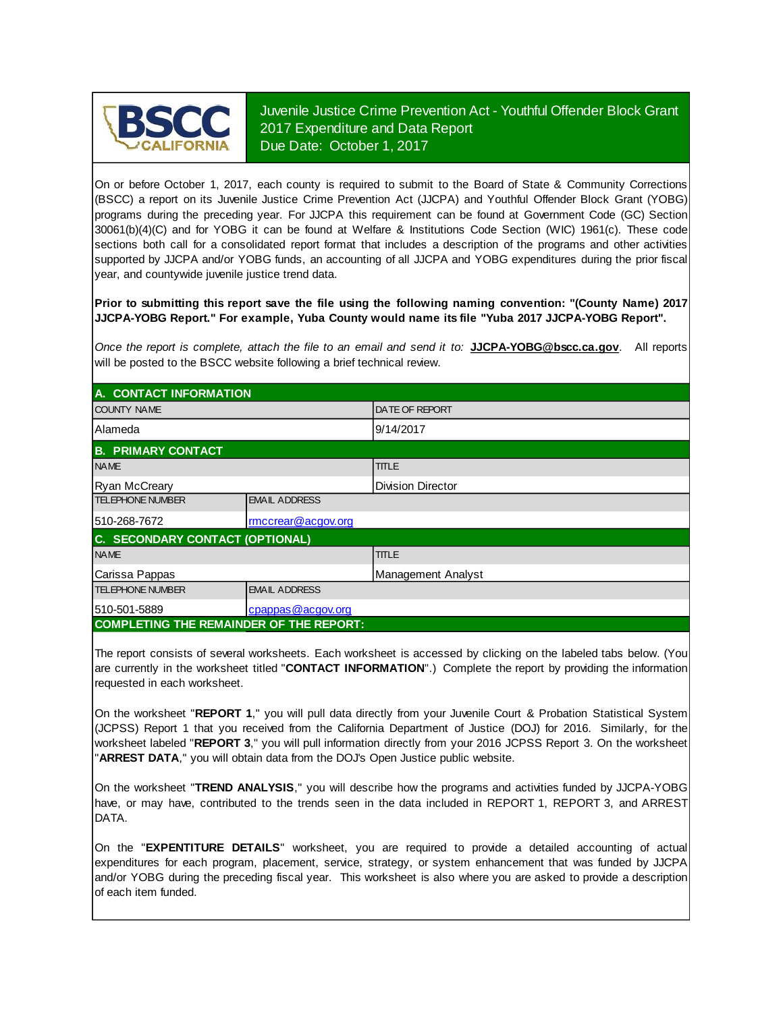

Juvenile Justice Crime Prevention Act - Youthful Offender Block Grant 2017 Expenditure and Data Report Due Date: October 1, 2017

On or before October 1, 2017, each county is required to submit to the Board of State & Community Corrections (BSCC) <sup>a</sup> report on its Juvenile Justice Crime Prevention Act (JJCPA) and Youthful Offender Block Grant (YOBG) programs during the preceding year. For JJCPA this requirement can be found at Government Code (GC) Section 30061(b)(4)(C) and for YOBG it can be found at Welfare & Institutions Code Section (WIC) 1961(c). These code sections both call for <sup>a</sup> consolidated report format that includes <sup>a</sup> description of the programs and other activities supported by JJCPA and/or YOBG funds, an accounting of all JJCPA and YOBG expenditures during the prior fiscal year, and countywide juvenile justice trend data.

**Prior to submitting this report save the file using the following naming convention: "(County Name) 2017 JJCPA-YOBG Report." For example, Yuba County would name its file "Yuba 2017 JJCPA-YOBG Report".**

*Once the report is complete, attach the file t o an email and send it to:* **JJCPA-YOBG@bscc.ca.gov**. All reports will be posted to the BSCC website following a brief technical review.

| A. CONTACT INFORMATION                         |                      |                       |
|------------------------------------------------|----------------------|-----------------------|
| <b>COUNTY NAME</b>                             |                      | <b>DATE OF REPORT</b> |
| <b>Alameda</b>                                 |                      | 9/14/2017             |
| <b>B. PRIMARY CONTACT</b>                      |                      |                       |
| <b>NAME</b>                                    |                      | <b>TITLE</b>          |
| <b>Ryan McCreary</b>                           |                      | Division Director     |
| <b>TELEPHONE NUMBER</b>                        | <b>EMAIL ADDRESS</b> |                       |
| 510-268-7672                                   | rmccrear@acgov.org   |                       |
| C. SECONDARY CONTACT (OPTIONAL)                |                      |                       |
| <b>NAME</b>                                    |                      | <b>TITLE</b>          |
| Carissa Pappas                                 |                      | Management Analyst    |
| <b>TELEPHONE NUMBER</b>                        | <b>EMAIL ADDRESS</b> |                       |
| 510-501-5889                                   | cpappas@acgov.org    |                       |
| <b>COMPLETING THE REMAINDER OF THE REPORT:</b> |                      |                       |

The report consists of several worksheets. Each worksheet is accessed by clicking on the labeled tabs below. (You are currently in the worksheet titled "**CONTACT INFORMATION**".) Complete the report by providing the information requested in each worksheet.

On the worksheet "**REPORT 1**, " you will pull data directly from your Juvenile Court & Probation Statistical System (JCPSS) Report 1 that you received from the California Department of Justice (DOJ) for 2016. Similarly, for the worksheet labeled "REPORT 3," you will pull information directly from your 2016 JCPSS Report 3. On the worksheet "**ARREST DATA**," you will obtain data from the DOJ's Open Justice public website.

On the worksheet "**TREND ANALYSIS**, " you will describe how the programs and activities funded by JJCPA-YOBG have, or may have, contributed to the trends seen in the data included in REPORT 1, REPORT 3, and ARREST DATA.

On the "EXPENTITURE DETAILS" worksheet, you are required to provide a detailed accounting of actual expenditures for each program, placement, service, strategy, or system enhancement that was funded by JJCPA and/or YOBG during the preceding fiscal year. This worksheet is also where you are asked to provide a description of each item funded.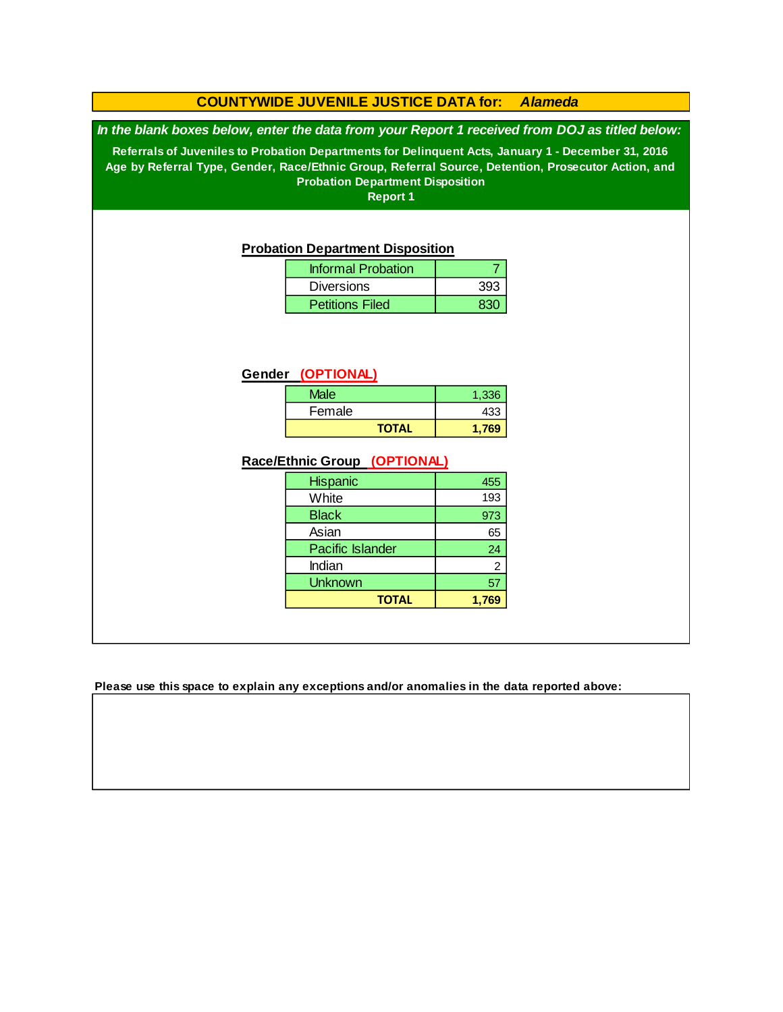### **COUNTYWIDE JUVENILE JUSTICE DATA for:** *Alameda*

*In the blank boxes below, enter the data from your Report 1 received from DOJ as titled below:*

**Referrals of Juveniles to Probation Departments for Delinquent Acts, January 1 - December 31, 2016 Age by Referral Type, Gender, Race/Ethnic Group, Referral Source, Detention, Prosecutor Action, and Probation Department Disposition**

**Report 1**

#### **Probation Department Disposition**

| <b>Informal Probation</b> |     |
|---------------------------|-----|
| <b>Diversions</b>         | 393 |
| <b>Petitions Filed</b>    |     |

### **Gender (OPTIONAL)**

| Male         | 1,336 |
|--------------|-------|
| Female       | 433   |
| <b>TOTAL</b> | 1.769 |

### **Race/Ethnic Group (OPTIONAL)**

| <b>Hispanic</b>         | 455            |
|-------------------------|----------------|
| White                   | 193            |
| <b>Black</b>            | 973            |
| Asian                   | 65             |
| <b>Pacific Islander</b> | 24             |
| Indian                  | $\overline{2}$ |
| <b>Unknown</b>          | 57             |
| <b>TOTAL</b>            | 1.769          |

**Please use this space to explain any exceptions and/or anomalies in the data reported above:**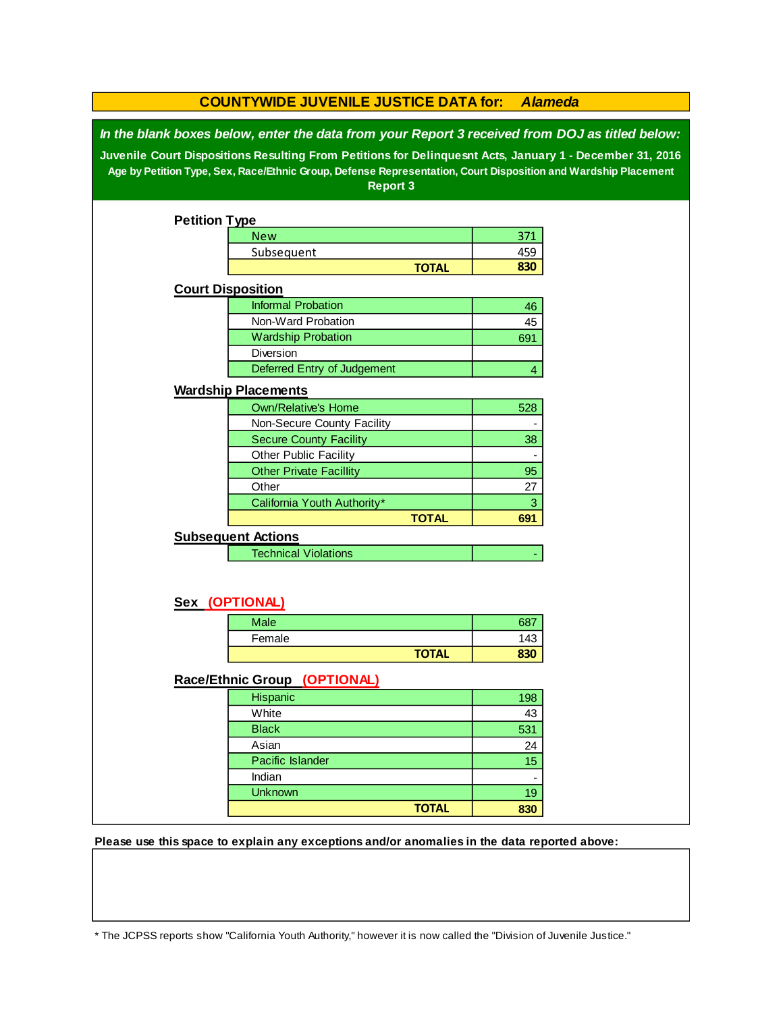| <b>COUNTYWIDE JUVENILE JUSTICE DATA for:</b><br><b>Alameda</b>                                                                                                                                                                                                                                                                                  |                                |              |                           |  |
|-------------------------------------------------------------------------------------------------------------------------------------------------------------------------------------------------------------------------------------------------------------------------------------------------------------------------------------------------|--------------------------------|--------------|---------------------------|--|
| In the blank boxes below, enter the data from your Report 3 received from DOJ as titled below:<br>Juvenile Court Dispositions Resulting From Petitions for Delinquesnt Acts, January 1 - December 31, 2016<br>Age by Petition Type, Sex, Race/Ethnic Group, Defense Representation, Court Disposition and Wardship Placement<br><b>Report 3</b> |                                |              |                           |  |
| <b>Petition Type</b>                                                                                                                                                                                                                                                                                                                            |                                |              |                           |  |
|                                                                                                                                                                                                                                                                                                                                                 | <b>New</b>                     |              | 371                       |  |
|                                                                                                                                                                                                                                                                                                                                                 | Subsequent                     |              | 459                       |  |
|                                                                                                                                                                                                                                                                                                                                                 |                                | <b>TOTAL</b> | 830                       |  |
|                                                                                                                                                                                                                                                                                                                                                 | <b>Court Disposition</b>       |              |                           |  |
|                                                                                                                                                                                                                                                                                                                                                 | <b>Informal Probation</b>      |              | 46                        |  |
|                                                                                                                                                                                                                                                                                                                                                 | Non-Ward Probation             |              | 45                        |  |
|                                                                                                                                                                                                                                                                                                                                                 | <b>Wardship Probation</b>      |              | 691                       |  |
|                                                                                                                                                                                                                                                                                                                                                 | Diversion                      |              |                           |  |
|                                                                                                                                                                                                                                                                                                                                                 | Deferred Entry of Judgement    |              | 4                         |  |
|                                                                                                                                                                                                                                                                                                                                                 | <b>Wardship Placements</b>     |              |                           |  |
|                                                                                                                                                                                                                                                                                                                                                 | <b>Own/Relative's Home</b>     |              | 528                       |  |
|                                                                                                                                                                                                                                                                                                                                                 | Non-Secure County Facility     |              |                           |  |
|                                                                                                                                                                                                                                                                                                                                                 | <b>Secure County Facility</b>  |              | 38                        |  |
|                                                                                                                                                                                                                                                                                                                                                 | Other Public Facility          |              |                           |  |
|                                                                                                                                                                                                                                                                                                                                                 | <b>Other Private Facillity</b> |              | 95                        |  |
|                                                                                                                                                                                                                                                                                                                                                 | Other                          |              | 27                        |  |
|                                                                                                                                                                                                                                                                                                                                                 | California Youth Authority*    |              | $\ensuremath{\mathsf{3}}$ |  |
|                                                                                                                                                                                                                                                                                                                                                 |                                | <b>TOTAL</b> | 691                       |  |
|                                                                                                                                                                                                                                                                                                                                                 | <b>Subsequent Actions</b>      |              |                           |  |
|                                                                                                                                                                                                                                                                                                                                                 | <b>Technical Violations</b>    |              |                           |  |
|                                                                                                                                                                                                                                                                                                                                                 | Sex (OPTIONAL)                 |              |                           |  |
|                                                                                                                                                                                                                                                                                                                                                 |                                |              |                           |  |
|                                                                                                                                                                                                                                                                                                                                                 | <b>Male</b>                    |              | 687                       |  |
|                                                                                                                                                                                                                                                                                                                                                 | Female                         | <b>TOTAL</b> | 143<br>830                |  |
|                                                                                                                                                                                                                                                                                                                                                 |                                |              |                           |  |
|                                                                                                                                                                                                                                                                                                                                                 | Race/Ethnic Group (OPTIONAL)   |              |                           |  |
|                                                                                                                                                                                                                                                                                                                                                 | Hispanic                       |              | 198                       |  |
|                                                                                                                                                                                                                                                                                                                                                 | White                          |              | 43                        |  |
|                                                                                                                                                                                                                                                                                                                                                 | <b>Black</b>                   |              | 531                       |  |
|                                                                                                                                                                                                                                                                                                                                                 | Asian                          |              | 24                        |  |
|                                                                                                                                                                                                                                                                                                                                                 | Pacific Islander               |              | 15                        |  |
|                                                                                                                                                                                                                                                                                                                                                 | Indian                         |              | $\overline{\phantom{a}}$  |  |
|                                                                                                                                                                                                                                                                                                                                                 | <b>Unknown</b>                 |              | 19                        |  |
|                                                                                                                                                                                                                                                                                                                                                 |                                | <b>TOTAL</b> | 830                       |  |

**Please use this space to explain any exceptions and/or anomalies in the data reported above:** 

\* The JCPSS reports show "California Youth Authority," however it is now called the "Division of Juvenile Justice."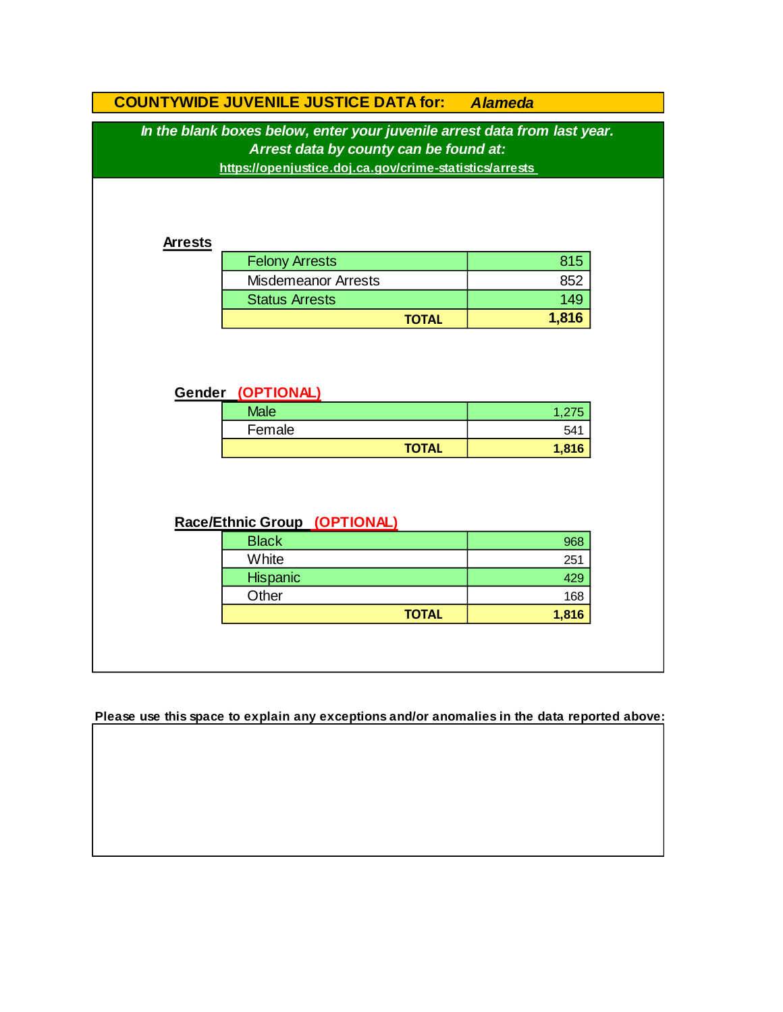|                                                                                                                                                                                | <b>COUNTYWIDE JUVENILE JUSTICE DATA for: Alameda</b> |              |       |
|--------------------------------------------------------------------------------------------------------------------------------------------------------------------------------|------------------------------------------------------|--------------|-------|
| In the blank boxes below, enter your juvenile arrest data from last year.<br>Arrest data by county can be found at:<br>https://openjustice.doj.ca.gov/crime-statistics/arrests |                                                      |              |       |
| <b>Arrests</b>                                                                                                                                                                 |                                                      |              |       |
|                                                                                                                                                                                | <b>Felony Arrests</b>                                |              | 815   |
|                                                                                                                                                                                | <b>Misdemeanor Arrests</b>                           |              | 852   |
|                                                                                                                                                                                | <b>Status Arrests</b>                                |              | 149   |
|                                                                                                                                                                                |                                                      | <b>TOTAL</b> | 1,816 |
|                                                                                                                                                                                |                                                      |              |       |
|                                                                                                                                                                                | Gender (OPTIONAL)                                    |              |       |
|                                                                                                                                                                                |                                                      |              |       |
|                                                                                                                                                                                | <b>Male</b>                                          |              | 1,275 |
|                                                                                                                                                                                | Female                                               |              | 541   |
|                                                                                                                                                                                |                                                      | <b>TOTAL</b> | 1,816 |
|                                                                                                                                                                                | Race/Ethnic Group (OPTIONAL)                         |              |       |
|                                                                                                                                                                                | <b>Black</b>                                         |              | 968   |
|                                                                                                                                                                                | White                                                |              | 251   |
|                                                                                                                                                                                | Hispanic                                             |              | 429   |
|                                                                                                                                                                                | Other                                                |              | 168   |
|                                                                                                                                                                                |                                                      | <b>TOTAL</b> | 1,816 |

**Please use this space to explain any exceptions and/or anomalies in the data reported above:**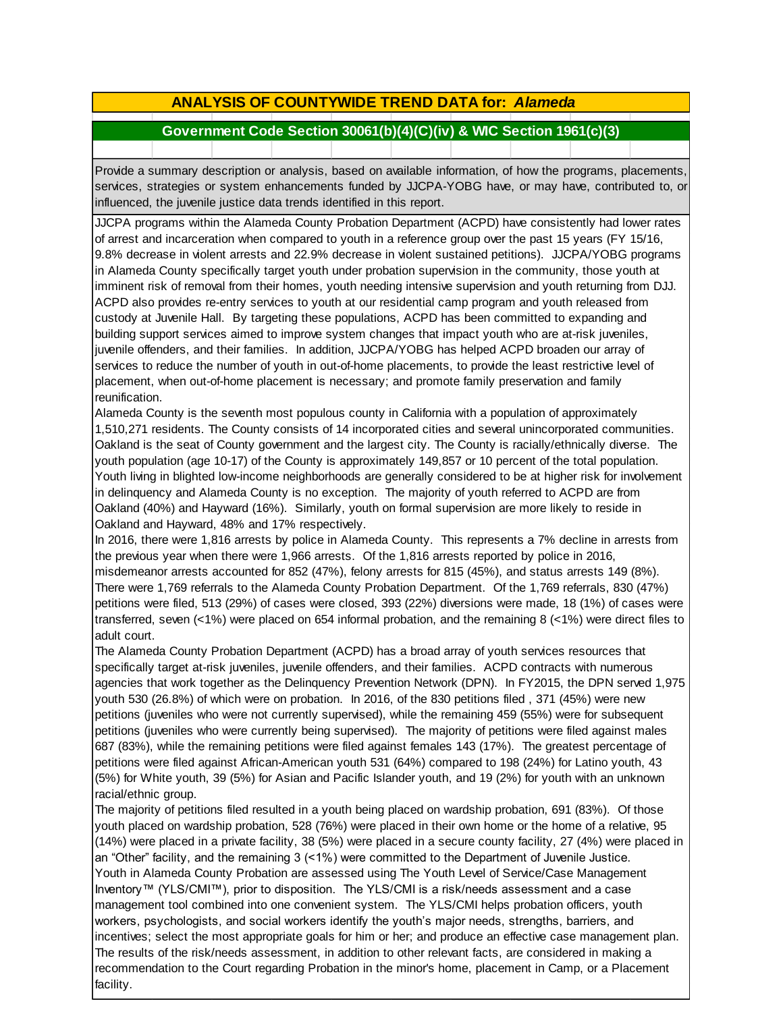# **ANALYSIS OF COUNTYWIDE TREND DATA for:** *Alameda*

## **Government Code Section 30061(b)(4)(C)(iv) & WIC Section 1961(c)(3)**

Provide <sup>a</sup> summary description or analysis, based on available information, of how the programs, placements, services, strategies or system enhancements funded by JJCPA-YOBG have, or may have, contributed to, or influenced, the juvenile justice data trends identified in this report.

JJCPA programs within the Alameda County Probation Department (ACPD) have consistently had lower rates of arrest and incarceration when compared to youth in a reference group over the past 15 years (FY 15/16, 9.8% decrease in violent arrests and 22.9% decrease in violent sustained petitions). JJCPA/YOBG programs in Alameda County specifically target youth under probation supervision in the community, those youth at imminent risk of removal from their homes, youth needing intensive supervision and youth returning from DJJ. ACPD also provides re-entry services to youth at our residential camp program and youth released from custody at Juvenile Hall. By targeting these populations, ACPD has been committed to expanding and building support services aimed to improve system changes that impact youth who are at-risk juveniles, juvenile offenders, and their families. In addition, JJCPA/YOBG has helped ACPD broaden our array of services to reduce the number of youth in out-of-home placements, to provide the least restrictive level of placement, when out-of-home placement is necessary; and promote family preservation and family reunification.

Alameda County is the seventh most populous county in California with a population of approximately 1,510,271 residents. The County consists of 14 incorporated cities and several unincorporated communities. Oakland is the seat of County government and the largest city. The County is racially/ethnically diverse. The youth population (age 10-17) of the County is approximately 149,857 or 10 percent of the total population. Youth living in blighted low-income neighborhoods are generally considered to be at higher risk for involvement in delinquency and Alameda County is no exception. The majority of youth referred to ACPD are from Oakland (40%) and Hayward (16%). Similarly, youth on formal supervision are more likely to reside in Oakland and Hayward, 48% and 17% respectively.

In 2016, there were 1,816 arrests by police in Alameda County. This represents a 7% decline in arrests from the previous year when there were 1,966 arrests. Of the 1,816 arrests reported by police in 2016, misdemeanor arrests accounted for 852 (47%), felony arrests for 815 (45%), and status arrests 149 (8%). There were 1,769 referrals to the Alameda County Probation Department. Of the 1,769 referrals, 830 (47%) petitions were filed, 513 (29%) of cases were closed, 393 (22%) diversions were made, 18 (1%) of cases were transferred, seven (<1%) were placed on 654 informal probation, and the remaining 8 (<1%) were direct files to adult court.

The Alameda County Probation Department (ACPD) has a broad array of youth services resources that specifically target at-risk juveniles, juvenile offenders, and their families. ACPD contracts with numerous agencies that work together as the Delinquency Prevention Network (DPN). In FY2015, the DPN served 1,975 youth 530 (26.8%) of which were on probation. In 2016, of the 830 petitions filed , 371 (45%) were new petitions (juveniles who were not currently supervised), while the remaining 459 (55%) were for subsequent petitions (juveniles who were currently being supervised). The majority of petitions were filed against males 687 (83%), while the remaining petitions were filed against females 143 (17%). The greatest percentage of petitions were filed against African-American youth 531 (64%) compared to 198 (24%) for Latino youth, 43 (5%) for White youth, 39 (5%) for Asian and Pacific Islander youth, and 19 (2%) for youth with an unknown racial/ethnic group.

The majority of petitions filed resulted in a youth being placed on wardship probation, 691 (83%). Of those youth placed on wardship probation, 528 (76%) were placed in their own home or the home of a relative, 95 (14%) were placed in a private facility, 38 (5%) were placed in a secure county facility, 27 (4%) were placed in an "Other" facility, and the remaining 3 (<1%) were committed to the Department of Juvenile Justice. Youth in Alameda County Probation are assessed using The Youth Level of Service/Case Management Inventory™ (YLS/CMI™), prior to disposition. The YLS/CMI is a risk/needs assessment and a case management tool combined into one convenient system. The YLS/CMI helps probation officers, youth workers, psychologists, and social workers identify the youth's major needs, strengths, barriers, and incentives; select the most appropriate goals for him or her; and produce an effective case management plan. The results of the risk/needs assessment, in addition to other relevant facts, are considered in making a recommendation to the Court regarding Probation in the minor's home, placement in Camp, or a Placement facility.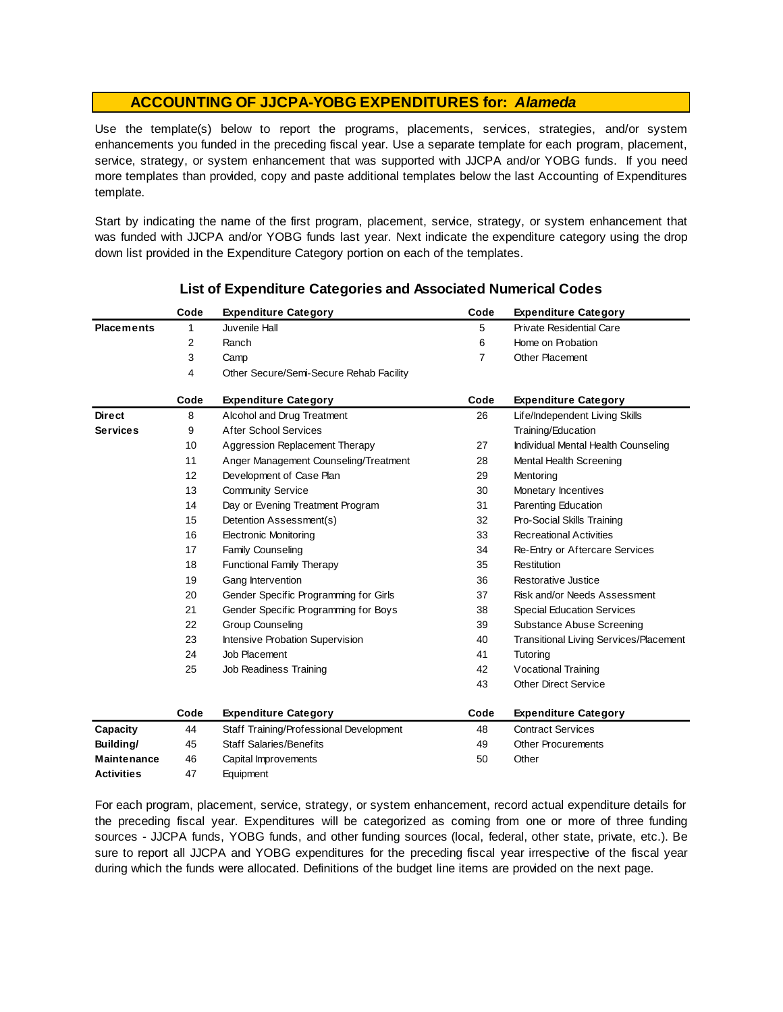Use the template(s) below to report the programs, placements, services, strategies, and/or system enhancements you funded in the preceding fiscal year. Use <sup>a</sup> separate template for each program, placement, service, strategy, or system enhancement that was supported with JJCPA and/or YOBG funds. If you need more templates than provided, copy and paste additional templates below the last Accounting of Expenditures template.

Start by indicating the name of the first program, placement, service, strategy, or system enhancement that was funded with JJCPA and/or YOBG funds last year. Next indicate the expenditure category using the drop down list provided in the Expenditure Category portion on each of the templates.

|                    | Code | <b>Expenditure Category</b>             | Code           | <b>Expenditure Category</b>                   |
|--------------------|------|-----------------------------------------|----------------|-----------------------------------------------|
| <b>Placements</b>  | 1    | Juvenile Hall                           | 5              | <b>Private Residential Care</b>               |
|                    | 2    | Ranch                                   | 6              | Home on Probation                             |
|                    | 3    | Camp                                    | $\overline{7}$ | Other Placement                               |
|                    | 4    | Other Secure/Semi-Secure Rehab Facility |                |                                               |
|                    | Code | <b>Expenditure Category</b>             | Code           | <b>Expenditure Category</b>                   |
| <b>Direct</b>      | 8    | Alcohol and Drug Treatment              | 26             | Life/Independent Living Skills                |
| <b>Services</b>    | 9    | <b>After School Services</b>            |                | Training/Education                            |
|                    | 10   | Aggression Replacement Therapy          | 27             | Individual Mental Health Counseling           |
|                    | 11   | Anger Management Counseling/Treatment   | 28             | Mental Health Screening                       |
|                    | 12   | Development of Case Plan                | 29             | Mentoring                                     |
|                    | 13   | <b>Community Service</b>                | 30             | Monetary Incentives                           |
|                    | 14   | Day or Evening Treatment Program        | 31             | Parenting Education                           |
|                    | 15   | Detention Assessment(s)                 | 32             | Pro-Social Skills Training                    |
|                    | 16   | <b>Electronic Monitoring</b>            | 33             | <b>Recreational Activities</b>                |
|                    | 17   | <b>Family Counseling</b>                | 34             | Re-Entry or Aftercare Services                |
|                    | 18   | <b>Functional Family Therapy</b>        | 35             | Restitution                                   |
|                    | 19   | Gang Intervention                       | 36             | Restorative Justice                           |
|                    | 20   | Gender Specific Programming for Girls   | 37             | Risk and/or Needs Assessment                  |
|                    | 21   | Gender Specific Programming for Boys    | 38             | <b>Special Education Services</b>             |
|                    | 22   | <b>Group Counseling</b>                 | 39             | Substance Abuse Screening                     |
|                    | 23   | Intensive Probation Supervision         | 40             | <b>Transitional Living Services/Placement</b> |
|                    | 24   | Job Placement                           | 41             | Tutoring                                      |
|                    | 25   | Job Readiness Training                  | 42             | Vocational Training                           |
|                    |      |                                         | 43             | <b>Other Direct Service</b>                   |
|                    | Code | <b>Expenditure Category</b>             | Code           | <b>Expenditure Category</b>                   |
| Capacity           | 44   | Staff Training/Professional Development | 48             | <b>Contract Services</b>                      |
| Building/          | 45   | <b>Staff Salaries/Benefits</b>          | 49             | <b>Other Procurements</b>                     |
| <b>Maintenance</b> | 46   | Capital Improvements                    | 50             | Other                                         |
| <b>Activities</b>  | 47   | Equipment                               |                |                                               |

### **List of Expenditure Categories and Associated Numerical Codes**

For each program, placement, service, strategy, or system enhancement, record actual expenditure details for the preceding fiscal year. Expenditures will be categorized as coming from one or more of three funding sources - JJCPA funds, YOBG funds, and other funding sources (local, federal, other state, private, etc.). Be sure to report all JJCPA and YOBG expenditures for the preceding fiscal year irrespective of the fiscal year during which the funds were allocated. Definitions of the budget line items are provided on the next page.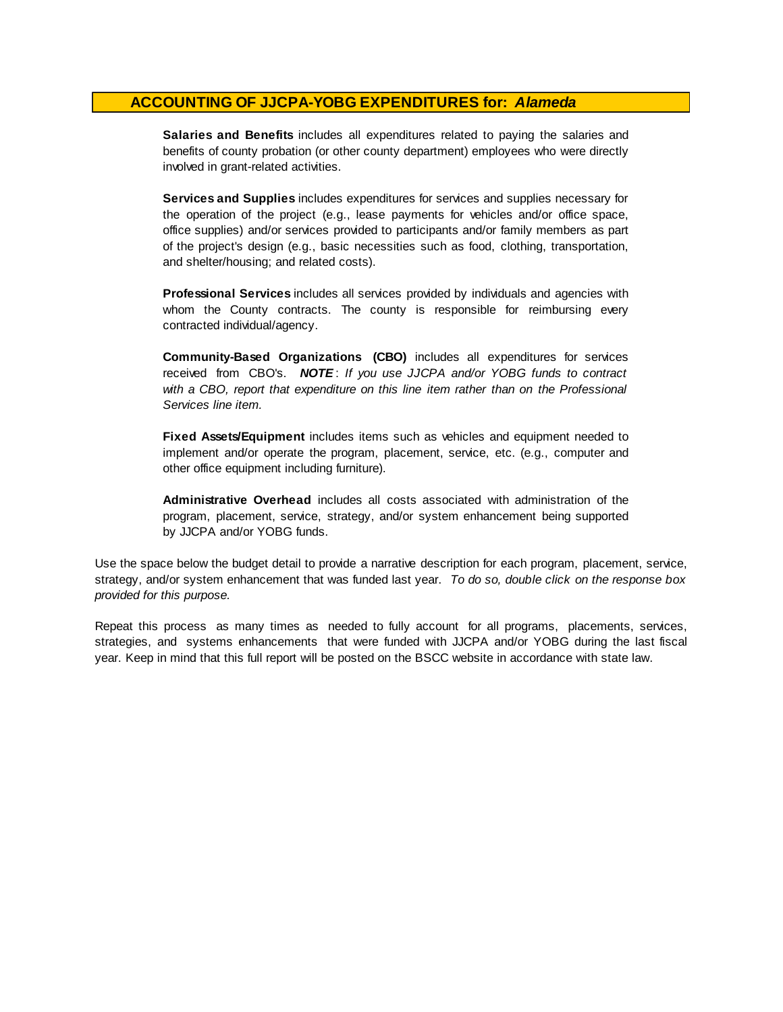**Salaries and Benefits** includes all expenditures related to paying the salaries and benefits of county probation (or other county department) employees who were directly involved in grant-related activities.

**Services and Supplies** includes expenditures for services and supplies necessary for the operation of the project (e.g., lease payments for vehicles and/or office space, office supplies) and/or services provided to participants and/or family members as part of the project's design (e.g., basic necessities such as food, clothing, transportation, and shelter/housing; and related costs).

**Professional Services** includes all services provided by individuals and agencies with whom the County contracts. The county is responsible for reimbursing every contracted individual/agency.

**Community-Based Organizations (CBO)** includes all expenditures for services received from CBO's. *NOTE* : *I f you use JJCPA and/or YOBG funds t o contract with <sup>a</sup> CBO, report that expenditure on this line item rather than on the Professional Services line item.*

**Fixed Assets/Equipment** includes items such as vehicles and equipment needed to implement and/or operate the program, placement, service, etc. (e.g., computer and other office equipment including furniture).

**Administrative Overhead** includes all costs associated with administration of the program, placement, service, strategy, and/or system enhancement being supported by JJCPA and/or YOBG funds.

Use the space below the budget detail to provide a narrative description for each program, placement, service, strategy, and/or system enhancement that was funded last year. *To do so, double click on the response box provided for this purpose.* 

Repeat this process as many times as needed to fully account for all programs, placements, services, strategies, and systems enhancements that were funded with JJCPA and/or YOBG during the last fiscal year. Keep in mind that this full report will be posted on the BSCC website in accordance with state law.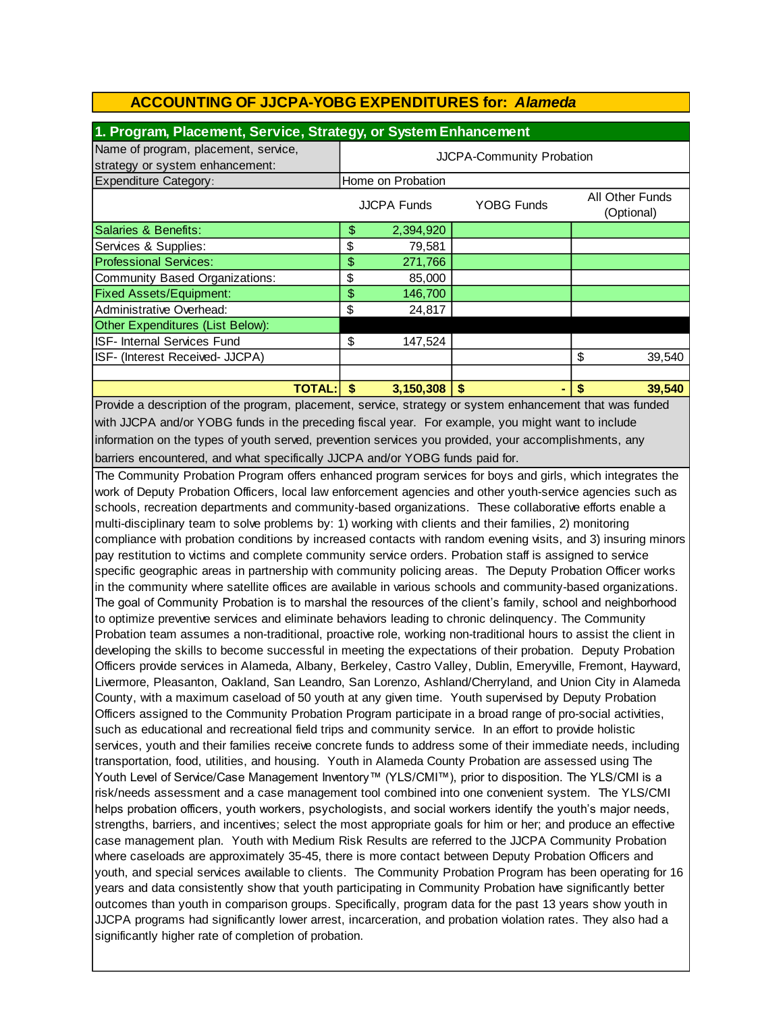| 1. Program, Placement, Service, Strategy, or System Enhancement |                           |                    |            |                               |
|-----------------------------------------------------------------|---------------------------|--------------------|------------|-------------------------------|
| Name of program, placement, service,                            | JJCPA-Community Probation |                    |            |                               |
| strategy or system enhancement:                                 |                           |                    |            |                               |
| <b>Expenditure Category:</b>                                    |                           | Home on Probation  |            |                               |
|                                                                 |                           | <b>JJCPA Funds</b> | YOBG Funds | All Other Funds<br>(Optional) |
| Salaries & Benefits:                                            | \$                        | 2,394,920          |            |                               |
| Services & Supplies:                                            | \$                        | 79,581             |            |                               |
| <b>Professional Services:</b>                                   | \$                        | 271,766            |            |                               |
| Community Based Organizations:                                  | \$                        | 85,000             |            |                               |
| <b>Fixed Assets/Equipment:</b>                                  | \$                        | 146,700            |            |                               |
| Administrative Overhead:                                        | \$                        | 24,817             |            |                               |
| Other Expenditures (List Below):                                |                           |                    |            |                               |
| <b>ISF- Internal Services Fund</b>                              | \$                        | 147,524            |            |                               |
| ISF- (Interest Received- JJCPA)                                 |                           |                    |            | \$<br>39,540                  |
|                                                                 |                           |                    |            |                               |
| TOTAL: I                                                        | \$                        | 3,150,308          | - \$       | 39,540                        |

Provide a description of the program, placement, service, strategy or system enhancement that was funded with JJCPA and/or YOBG funds in the preceding fiscal year. For example, you might want to include information on the types of youth served, prevention services you provided, your accomplishments, any barriers encountered, and what specifically JJCPA and/or YOBG funds paid for.

The Community Probation Program offers enhanced program services for boys and girls, which integrates the work of Deputy Probation Officers, local law enforcement agencies and other youth-service agencies such as schools, recreation departments and community-based organizations. These collaborative efforts enable a multi-disciplinary team to solve problems by: 1) working with clients and their families, 2) monitoring compliance with probation conditions by increased contacts with random evening visits, and 3) insuring minors pay restitution to victims and complete community service orders. Probation staff is assigned to service specific geographic areas in partnership with community policing areas. The Deputy Probation Officer works in the community where satellite offices are available in various schools and community-based organizations. The goal of Community Probation is to marshal the resources of the client's family, school and neighborhood to optimize preventive services and eliminate behaviors leading to chronic delinquency. The Community Probation team assumes a non-traditional, proactive role, working non-traditional hours to assist the client in developing the skills to become successful in meeting the expectations of their probation. Deputy Probation Officers provide services in Alameda, Albany, Berkeley, Castro Valley, Dublin, Emeryville, Fremont, Hayward, Livermore, Pleasanton, Oakland, San Leandro, San Lorenzo, Ashland/Cherryland, and Union City in Alameda County, with a maximum caseload of 50 youth at any given time. Youth supervised by Deputy Probation Officers assigned to the Community Probation Program participate in a broad range of pro-social activities, such as educational and recreational field trips and community service. In an effort to provide holistic services, youth and their families receive concrete funds to address some of their immediate needs, including transportation, food, utilities, and housing. Youth in Alameda County Probation are assessed using The Youth Level of Service/Case Management Inventory™ (YLS/CMI™), prior to disposition. The YLS/CMI is a risk/needs assessment and a case management tool combined into one convenient system. The YLS/CMI helps probation officers, youth workers, psychologists, and social workers identify the youth's major needs, strengths, barriers, and incentives; select the most appropriate goals for him or her; and produce an effective case management plan. Youth with Medium Risk Results are referred to the JJCPA Community Probation where caseloads are approximately 35-45, there is more contact between Deputy Probation Officers and youth, and special services available to clients. The Community Probation Program has been operating for 16 years and data consistently show that youth participating in Community Probation have significantly better outcomes than youth in comparison groups. Specifically, program data for the past 13 years show youth in JJCPA programs had significantly lower arrest, incarceration, and probation violation rates. They also had a significantly higher rate of completion of probation.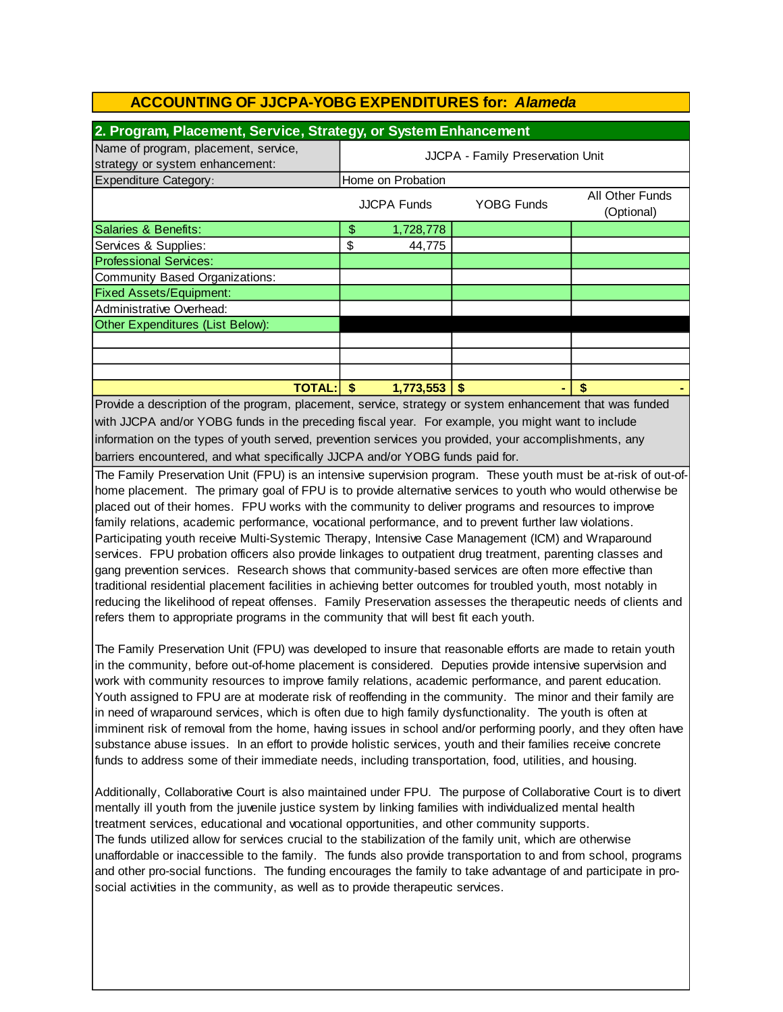| 2. Program, Placement, Service, Strategy, or System Enhancement         |                                  |                    |                   |                               |
|-------------------------------------------------------------------------|----------------------------------|--------------------|-------------------|-------------------------------|
| Name of program, placement, service,<br>strategy or system enhancement: | JJCPA - Family Preservation Unit |                    |                   |                               |
| Expenditure Category:                                                   | Home on Probation                |                    |                   |                               |
|                                                                         |                                  | <b>JJCPA Funds</b> | <b>YOBG Funds</b> | All Other Funds<br>(Optional) |
| Salaries & Benefits:                                                    | \$                               | 1,728,778          |                   |                               |
| Services & Supplies:                                                    | \$                               | 44,775             |                   |                               |
| <b>Professional Services:</b>                                           |                                  |                    |                   |                               |
| Community Based Organizations:                                          |                                  |                    |                   |                               |
| <b>Fixed Assets/Equipment:</b>                                          |                                  |                    |                   |                               |
| Administrative Overhead:                                                |                                  |                    |                   |                               |
| Other Expenditures (List Below):                                        |                                  |                    |                   |                               |
|                                                                         |                                  |                    |                   |                               |
|                                                                         |                                  |                    |                   |                               |
|                                                                         |                                  |                    |                   |                               |
| TOTAL:l                                                                 | S                                | 1,773,553          | \$.               |                               |

barriers encountered, and what specifically JJCPA and/or YOBG funds paid for. Provide a description of the program, placement, service, strategy or system enhancement that was funded with JJCPA and/or YOBG funds in the preceding fiscal year. For example, you might want to include information on the types of youth served, prevention services you provided, your accomplishments, any

The Family Preservation Unit (FPU) is an intensive supervision program. These youth must be at-risk of out-ofhome placement. The primary goal of FPU is to provide alternative services to youth who would otherwise be placed out of their homes. FPU works with the community to deliver programs and resources to improve family relations, academic performance, vocational performance, and to prevent further law violations. Participating youth receive Multi-Systemic Therapy, Intensive Case Management (ICM) and Wraparound services. FPU probation officers also provide linkages to outpatient drug treatment, parenting classes and gang prevention services. Research shows that community-based services are often more effective than traditional residential placement facilities in achieving better outcomes for troubled youth, most notably in reducing the likelihood of repeat offenses. Family Preservation assesses the therapeutic needs of clients and refers them to appropriate programs in the community that will best fit each youth.

The Family Preservation Unit (FPU) was developed to insure that reasonable efforts are made to retain youth in the community, before out-of-home placement is considered. Deputies provide intensive supervision and work with community resources to improve family relations, academic performance, and parent education. Youth assigned to FPU are at moderate risk of reoffending in the community. The minor and their family are in need of wraparound services, which is often due to high family dysfunctionality. The youth is often at imminent risk of removal from the home, having issues in school and/or performing poorly, and they often have substance abuse issues. In an effort to provide holistic services, youth and their families receive concrete funds to address some of their immediate needs, including transportation, food, utilities, and housing.

Additionally, Collaborative Court is also maintained under FPU. The purpose of Collaborative Court is to divert mentally ill youth from the juvenile justice system by linking families with individualized mental health treatment services, educational and vocational opportunities, and other community supports. The funds utilized allow for services crucial to the stabilization of the family unit, which are otherwise unaffordable or inaccessible to the family. The funds also provide transportation to and from school, programs and other pro-social functions. The funding encourages the family to take advantage of and participate in prosocial activities in the community, as well as to provide therapeutic services.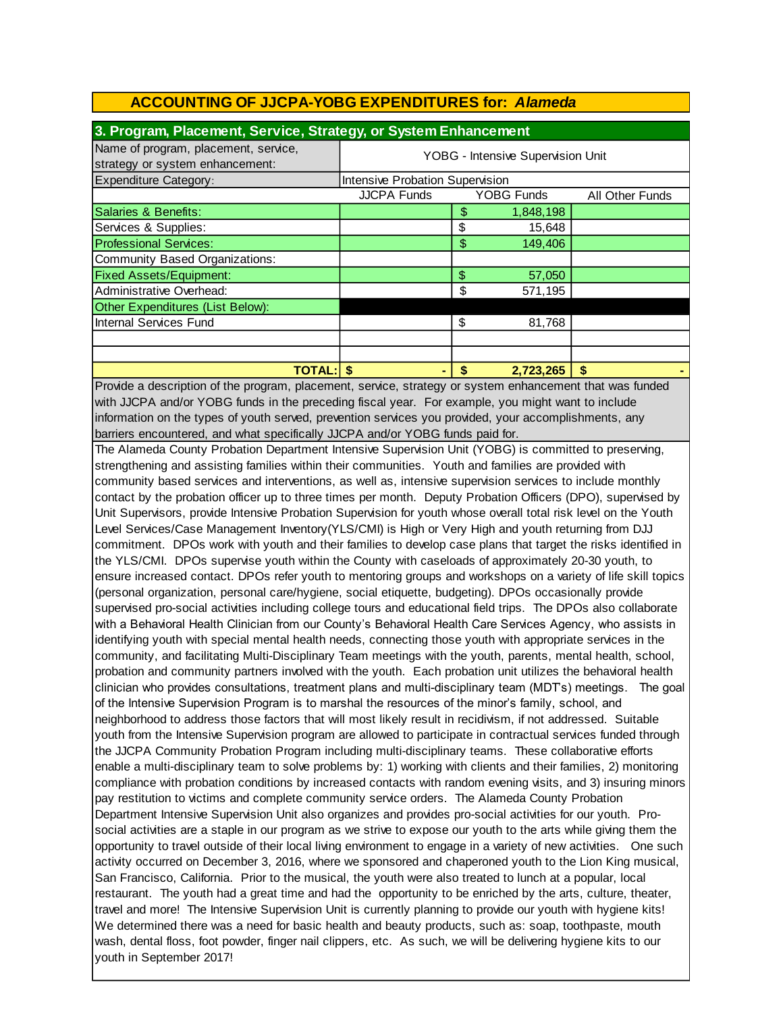| 3. Program, Placement, Service, Strategy, or System Enhancement         |                                   |    |                   |                 |  |
|-------------------------------------------------------------------------|-----------------------------------|----|-------------------|-----------------|--|
| Name of program, placement, service,<br>strategy or system enhancement: | YOBG - Intensive Supervision Unit |    |                   |                 |  |
| <b>Expenditure Category:</b>                                            | Intensive Probation Supervision   |    |                   |                 |  |
|                                                                         | <b>JJCPA Funds</b>                |    | <b>YOBG Funds</b> | All Other Funds |  |
| Salaries & Benefits:                                                    |                                   | \$ | 1,848,198         |                 |  |
| Services & Supplies:                                                    |                                   | \$ | 15,648            |                 |  |
| <b>Professional Services:</b>                                           |                                   | \$ | 149,406           |                 |  |
| Community Based Organizations:                                          |                                   |    |                   |                 |  |
| <b>Fixed Assets/Equipment:</b>                                          |                                   | \$ | 57,050            |                 |  |
| Administrative Overhead:                                                |                                   | \$ | 571,195           |                 |  |
| Other Expenditures (List Below):                                        |                                   |    |                   |                 |  |
| Internal Services Fund                                                  |                                   | \$ | 81,768            |                 |  |
|                                                                         |                                   |    |                   |                 |  |
|                                                                         |                                   |    |                   |                 |  |
| <b>TOTAL: \$</b>                                                        |                                   | \$ | 2,723,265         | \$              |  |

barriers encountered, and what specifically JJCPA and/or YOBG funds paid for. information on the types of youth served, prevention services you provided, your accomplishments, any Provide a description of the program, placement, service, strategy or system enhancement that was funded with JJCPA and/or YOBG funds in the preceding fiscal year. For example, you might want to include

The Alameda County Probation Department Intensive Supervision Unit (YOBG) is committed to preserving, strengthening and assisting families within their communities. Youth and families are provided with community based services and interventions, as well as, intensive supervision services to include monthly contact by the probation officer up to three times per month. Deputy Probation Officers (DPO), supervised by Unit Supervisors, provide Intensive Probation Supervision for youth whose overall total risk level on the Youth Level Services/Case Management Inventory(YLS/CMI) is High or Very High and youth returning from DJJ commitment. DPOs work with youth and their families to develop case plans that target the risks identified in the YLS/CMI. DPOs supervise youth within the County with caseloads of approximately 20-30 youth, to ensure increased contact. DPOs refer youth to mentoring groups and workshops on a variety of life skill topics (personal organization, personal care/hygiene, social etiquette, budgeting). DPOs occasionally provide supervised pro-social activities including college tours and educational field trips. The DPOs also collaborate with a Behavioral Health Clinician from our County's Behavioral Health Care Services Agency, who assists in identifying youth with special mental health needs, connecting those youth with appropriate services in the community, and facilitating Multi-Disciplinary Team meetings with the youth, parents, mental health, school, probation and community partners involved with the youth. Each probation unit utilizes the behavioral health clinician who provides consultations, treatment plans and multi-disciplinary team (MDT's) meetings. The goal of the Intensive Supervision Program is to marshal the resources of the minor's family, school, and neighborhood to address those factors that will most likely result in recidivism, if not addressed. Suitable youth from the Intensive Supervision program are allowed to participate in contractual services funded through the JJCPA Community Probation Program including multi-disciplinary teams. These collaborative efforts enable a multi-disciplinary team to solve problems by: 1) working with clients and their families, 2) monitoring compliance with probation conditions by increased contacts with random evening visits, and 3) insuring minors pay restitution to victims and complete community service orders. The Alameda County Probation Department Intensive Supervision Unit also organizes and provides pro-social activities for our youth. Prosocial activities are a staple in our program as we strive to expose our youth to the arts while giving them the opportunity to travel outside of their local living environment to engage in a variety of new activities. One such activity occurred on December 3, 2016, where we sponsored and chaperoned youth to the Lion King musical, San Francisco, California. Prior to the musical, the youth were also treated to lunch at a popular, local restaurant. The youth had a great time and had the opportunity to be enriched by the arts, culture, theater, travel and more! The Intensive Supervision Unit is currently planning to provide our youth with hygiene kits! We determined there was a need for basic health and beauty products, such as: soap, toothpaste, mouth wash, dental floss, foot powder, finger nail clippers, etc. As such, we will be delivering hygiene kits to our youth in September 2017!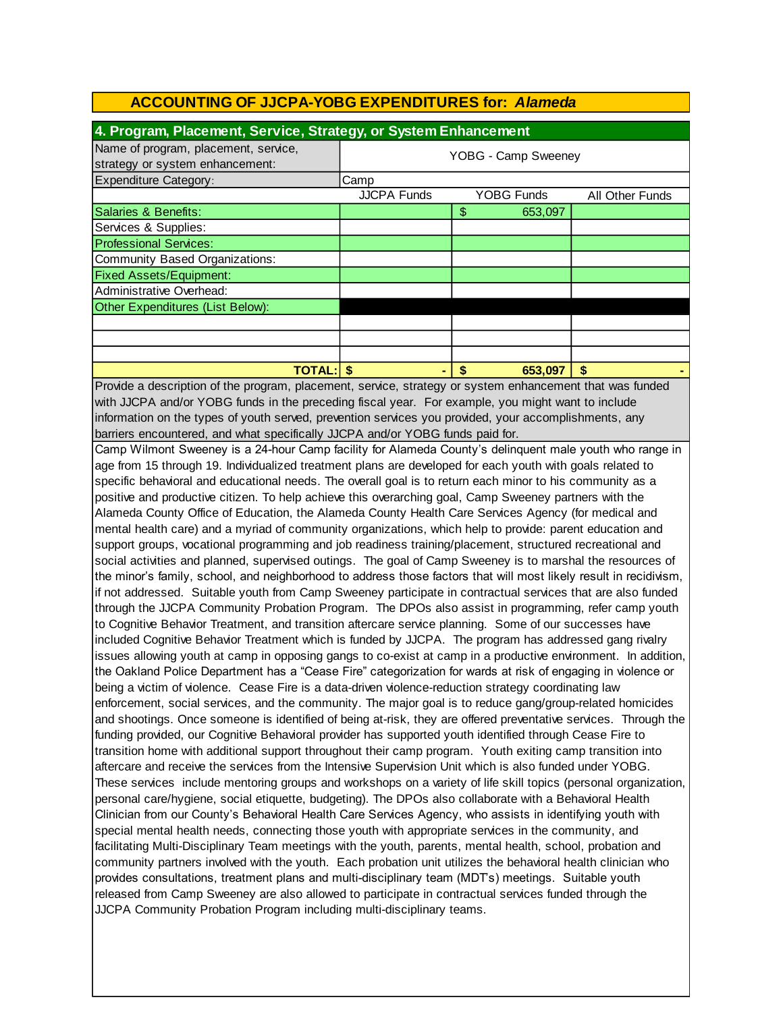| 4. Program, Placement, Service, Strategy, or System Enhancement         |                     |                   |                        |  |
|-------------------------------------------------------------------------|---------------------|-------------------|------------------------|--|
| Name of program, placement, service,<br>strategy or system enhancement: | YOBG - Camp Sweeney |                   |                        |  |
| <b>Expenditure Category:</b>                                            | Camp                |                   |                        |  |
|                                                                         | <b>JJCPA Funds</b>  | <b>YOBG Funds</b> | <b>All Other Funds</b> |  |
| Salaries & Benefits:                                                    |                     | 653,097<br>\$     |                        |  |
| Services & Supplies:                                                    |                     |                   |                        |  |
| <b>Professional Services:</b>                                           |                     |                   |                        |  |
| Community Based Organizations:                                          |                     |                   |                        |  |
| <b>Fixed Assets/Equipment:</b>                                          |                     |                   |                        |  |
| Administrative Overhead:                                                |                     |                   |                        |  |
| Other Expenditures (List Below):                                        |                     |                   |                        |  |
|                                                                         |                     |                   |                        |  |
|                                                                         |                     |                   |                        |  |
|                                                                         |                     |                   |                        |  |
| <b>TOTAL: S</b>                                                         |                     | \$<br>653,097     | S                      |  |

Provide a description of the program, placement, service, strategy or system enhancement that was funded with JJCPA and/or YOBG funds in the preceding fiscal year. For example, you might want to include information on the types of youth served, prevention services you provided, your accomplishments, any barriers encountered, and what specifically JJCPA and/or YOBG funds paid for.

Camp Wilmont Sweeney is a 24-hour Camp facility for Alameda County's delinquent male youth who range in age from 15 through 19. Individualized treatment plans are developed for each youth with goals related to specific behavioral and educational needs. The overall goal is to return each minor to his community as a positive and productive citizen. To help achieve this overarching goal, Camp Sweeney partners with the Alameda County Office of Education, the Alameda County Health Care Services Agency (for medical and mental health care) and a myriad of community organizations, which help to provide: parent education and support groups, vocational programming and job readiness training/placement, structured recreational and social activities and planned, supervised outings. The goal of Camp Sweeney is to marshal the resources of the minor's family, school, and neighborhood to address those factors that will most likely result in recidivism, if not addressed. Suitable youth from Camp Sweeney participate in contractual services that are also funded through the JJCPA Community Probation Program. The DPOs also assist in programming, refer camp youth to Cognitive Behavior Treatment, and transition aftercare service planning. Some of our successes have included Cognitive Behavior Treatment which is funded by JJCPA. The program has addressed gang rivalry issues allowing youth at camp in opposing gangs to co-exist at camp in a productive environment. In addition, the Oakland Police Department has a "Cease Fire" categorization for wards at risk of engaging in violence or being a victim of violence. Cease Fire is a data-driven violence-reduction strategy coordinating law enforcement, social services, and the community. The major goal is to reduce gang/group-related homicides and shootings. Once someone is identified of being at-risk, they are offered preventative services. Through the funding provided, our Cognitive Behavioral provider has supported youth identified through Cease Fire to transition home with additional support throughout their camp program. Youth exiting camp transition into aftercare and receive the services from the Intensive Supervision Unit which is also funded under YOBG. These services include mentoring groups and workshops on a variety of life skill topics (personal organization, personal care/hygiene, social etiquette, budgeting). The DPOs also collaborate with a Behavioral Health Clinician from our County's Behavioral Health Care Services Agency, who assists in identifying youth with special mental health needs, connecting those youth with appropriate services in the community, and facilitating Multi-Disciplinary Team meetings with the youth, parents, mental health, school, probation and community partners involved with the youth. Each probation unit utilizes the behavioral health clinician who provides consultations, treatment plans and multi-disciplinary team (MDT's) meetings. Suitable youth released from Camp Sweeney are also allowed to participate in contractual services funded through the JJCPA Community Probation Program including multi-disciplinary teams.